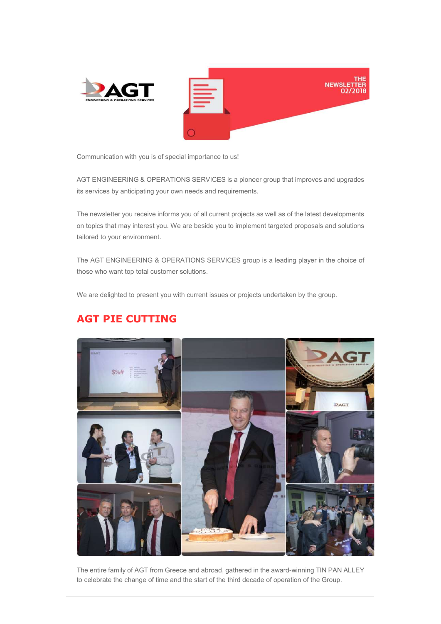



Communication with you is of special importance to us!

AGT ENGINEERING & OPERATIONS SERVICES is a pioneer group that improves and upgrades its services by anticipating your own needs and requirements.

The newsletter you receive informs you of all current projects as well as of the latest developments on topics that may interest you. We are beside you to implement targeted proposals and solutions tailored to your environment.

The AGT ENGINEERING & OPERATIONS SERVICES group is a leading player in the choice of those who want top total customer solutions.

We are delighted to present you with current issues or projects undertaken by the group.

## AGT PIE CUTTING



The entire family of AGT from Greece and abroad, gathered in the award-winning TIN PAN ALLEY to celebrate the change of time and the start of the third decade of operation of the Group.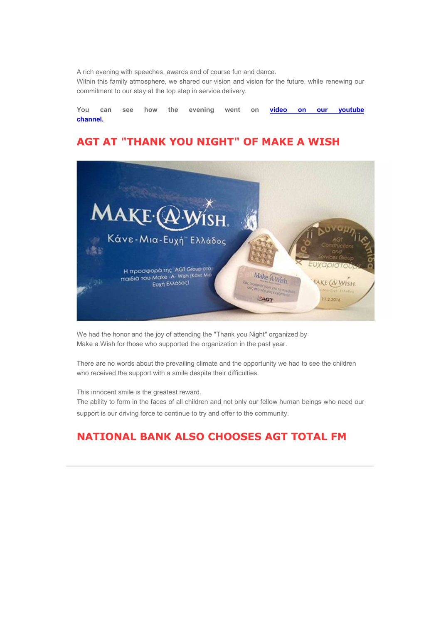A rich evening with speeches, awards and of course fun and dance.

Within this family atmosphere, we shared our vision and vision for the future, while renewing our commitment to our stay at the top step in service delivery.

You can see how the evening went on **video on our youtube** channel.

### AGT AT "THANK YOU NIGHT" OF MAKE A WISH



We had the honor and the joy of attending the "Thank you Night" organized by Make a Wish for those who supported the organization in the past year.

There are no words about the prevailing climate and the opportunity we had to see the children who received the support with a smile despite their difficulties.

This innocent smile is the greatest reward.

The ability to form in the faces of all children and not only our fellow human beings who need our support is our driving force to continue to try and offer to the community.

## NATIONAL BANK ALSO CHOOSES AGT TOTAL FM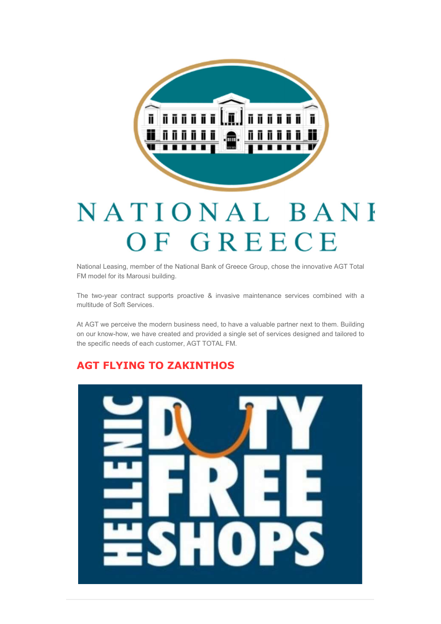

# NATIONAL BANH OF GREECE

National Leasing, member of the National Bank of Greece Group, chose the innovative AGT Total FM model for its Marousi building.

The two-year contract supports proactive & invasive maintenance services combined with a multitude of Soft Services.

At AGT we perceive the modern business need, to have a valuable partner next to them. Building on our know-how, we have created and provided a single set of services designed and tailored to the specific needs of each customer, AGT TOTAL FM.

## AGT FLYING TO ZAKINTHOS